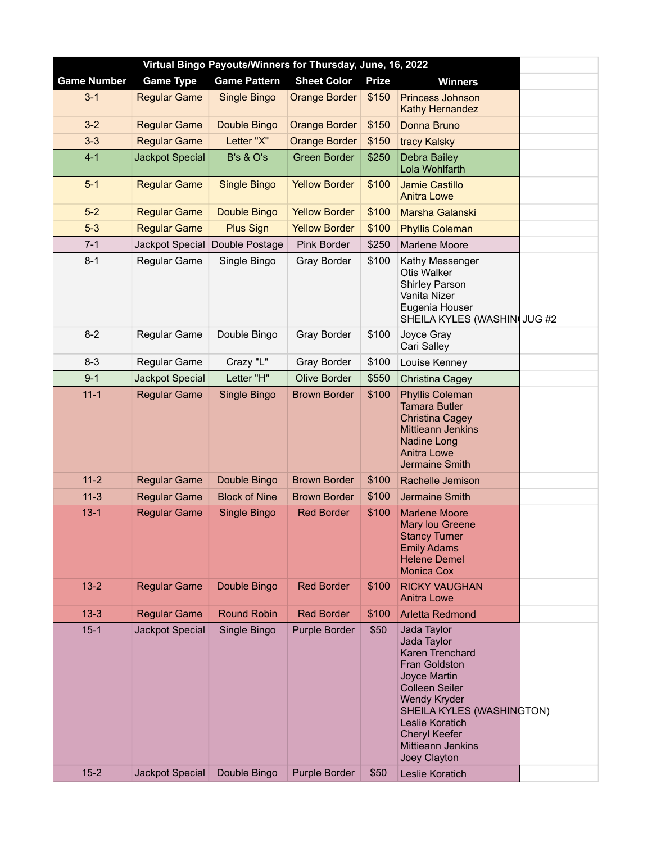| Virtual Bingo Payouts/Winners for Thursday, June, 16, 2022 |                        |                      |                      |              |                                                                                                                                                                                                                                                           |  |  |  |  |
|------------------------------------------------------------|------------------------|----------------------|----------------------|--------------|-----------------------------------------------------------------------------------------------------------------------------------------------------------------------------------------------------------------------------------------------------------|--|--|--|--|
| <b>Game Number</b>                                         | <b>Game Type</b>       | <b>Game Pattern</b>  | <b>Sheet Color</b>   | <b>Prize</b> | <b>Winners</b>                                                                                                                                                                                                                                            |  |  |  |  |
| $3 - 1$                                                    | <b>Regular Game</b>    | Single Bingo         | <b>Orange Border</b> | \$150        | Princess Johnson<br>Kathy Hernandez                                                                                                                                                                                                                       |  |  |  |  |
| $3-2$                                                      | <b>Regular Game</b>    | Double Bingo         | <b>Orange Border</b> | \$150        | Donna Bruno                                                                                                                                                                                                                                               |  |  |  |  |
| $3-3$                                                      | <b>Regular Game</b>    | Letter "X"           | <b>Orange Border</b> | \$150        | tracy Kalsky                                                                                                                                                                                                                                              |  |  |  |  |
| $4 - 1$                                                    | <b>Jackpot Special</b> | <b>B's &amp; O's</b> | <b>Green Border</b>  | \$250        | Debra Bailey<br>Lola Wohlfarth                                                                                                                                                                                                                            |  |  |  |  |
| $5-1$                                                      | <b>Regular Game</b>    | <b>Single Bingo</b>  | <b>Yellow Border</b> | \$100        | <b>Jamie Castillo</b><br><b>Anitra Lowe</b>                                                                                                                                                                                                               |  |  |  |  |
| $5-2$                                                      | <b>Regular Game</b>    | Double Bingo         | <b>Yellow Border</b> | \$100        | Marsha Galanski                                                                                                                                                                                                                                           |  |  |  |  |
| $5 - 3$                                                    | <b>Regular Game</b>    | <b>Plus Sign</b>     | <b>Yellow Border</b> | \$100        | <b>Phyllis Coleman</b>                                                                                                                                                                                                                                    |  |  |  |  |
| $7 - 1$                                                    | Jackpot Special        | Double Postage       | Pink Border          | \$250        | Marlene Moore                                                                                                                                                                                                                                             |  |  |  |  |
| $8 - 1$                                                    | Regular Game           | Single Bingo         | <b>Gray Border</b>   | \$100        | Kathy Messenger<br><b>Otis Walker</b><br><b>Shirley Parson</b><br>Vanita Nizer<br>Eugenia Houser<br>SHEILA KYLES (WASHIN JUG #2                                                                                                                           |  |  |  |  |
| $8-2$                                                      | Regular Game           | Double Bingo         | <b>Gray Border</b>   | \$100        | Joyce Gray<br>Cari Salley                                                                                                                                                                                                                                 |  |  |  |  |
| $8 - 3$                                                    | Regular Game           | Crazy "L"            | Gray Border          | \$100        | Louise Kenney                                                                                                                                                                                                                                             |  |  |  |  |
| $9 - 1$                                                    | Jackpot Special        | Letter "H"           | <b>Olive Border</b>  | \$550        | Christina Cagey                                                                                                                                                                                                                                           |  |  |  |  |
| $11 - 1$                                                   | <b>Regular Game</b>    | Single Bingo         | <b>Brown Border</b>  | \$100        | <b>Phyllis Coleman</b><br><b>Tamara Butler</b><br><b>Christina Cagey</b><br><b>Mittieann Jenkins</b><br>Nadine Long<br><b>Anitra Lowe</b><br>Jermaine Smith                                                                                               |  |  |  |  |
| $11 - 2$                                                   | <b>Regular Game</b>    | Double Bingo         | <b>Brown Border</b>  | \$100        | Rachelle Jemison                                                                                                                                                                                                                                          |  |  |  |  |
| $11-3$                                                     | <b>Regular Game</b>    | <b>Block of Nine</b> | <b>Brown Border</b>  | \$100        | Jermaine Smith                                                                                                                                                                                                                                            |  |  |  |  |
| $13 - 1$                                                   | <b>Regular Game</b>    | Single Bingo         | <b>Red Border</b>    | \$100        | <b>Marlene Moore</b><br>Mary lou Greene<br><b>Stancy Turner</b><br><b>Emily Adams</b><br><b>Helene Demel</b><br><b>Monica Cox</b>                                                                                                                         |  |  |  |  |
| $13 - 2$                                                   | <b>Regular Game</b>    | Double Bingo         | <b>Red Border</b>    | \$100        | <b>RICKY VAUGHAN</b><br><b>Anitra Lowe</b>                                                                                                                                                                                                                |  |  |  |  |
| $13 - 3$                                                   | <b>Regular Game</b>    | <b>Round Robin</b>   | <b>Red Border</b>    | \$100        | <b>Arletta Redmond</b>                                                                                                                                                                                                                                    |  |  |  |  |
| $15 - 1$                                                   | Jackpot Special        | Single Bingo         | <b>Purple Border</b> | \$50         | Jada Taylor<br>Jada Taylor<br>Karen Trenchard<br><b>Fran Goldston</b><br>Joyce Martin<br><b>Colleen Seiler</b><br><b>Wendy Kryder</b><br>SHEILA KYLES (WASHINGTON)<br>Leslie Koratich<br><b>Cheryl Keefer</b><br><b>Mittieann Jenkins</b><br>Joey Clayton |  |  |  |  |
| $15 - 2$                                                   | Jackpot Special        | Double Bingo         | <b>Purple Border</b> | \$50         | Leslie Koratich                                                                                                                                                                                                                                           |  |  |  |  |